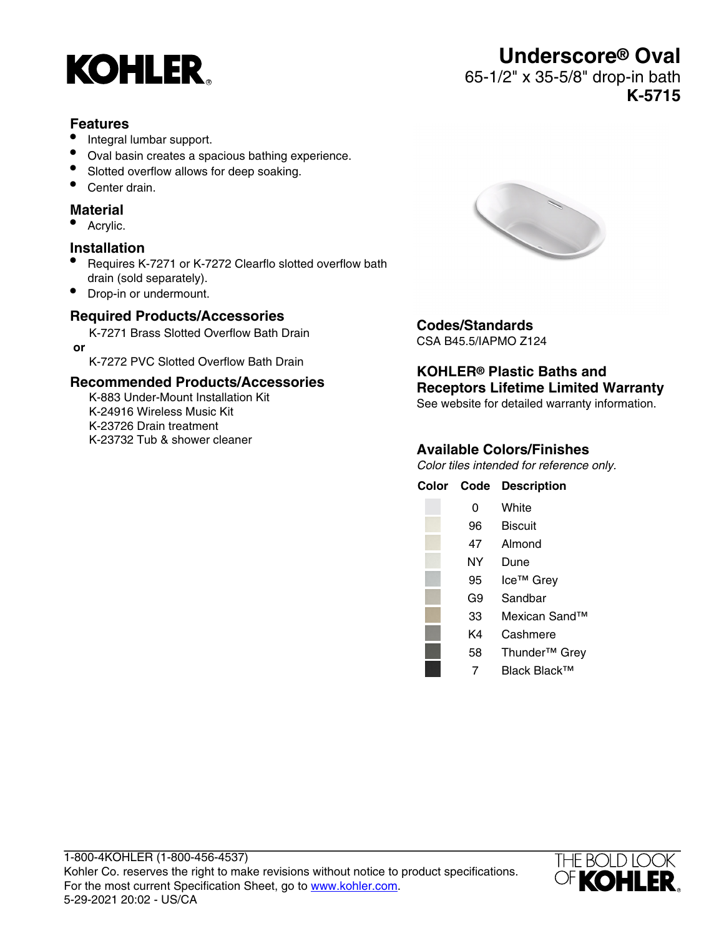

#### **Features**

- Integral lumbar support.
- Oval basin creates a spacious bathing experience.
- Slotted overflow allows for deep soaking.
- Center drain.

#### **Material**

• Acrylic.

### **Installation**

- Requires K-7271 or K-7272 Clearflo slotted overflow bath drain (sold separately).
- Drop-in or undermount.

### **Required Products/Accessories**

K-7271 Brass Slotted Overflow Bath Drain  **or**

K-7272 PVC Slotted Overflow Bath Drain

#### **Recommended Products/Accessories**

K-883 Under-Mount Installation Kit K-24916 Wireless Music Kit K-23726 Drain treatment K-23732 Tub & shower cleaner



### **Codes/Standards**

CSA B45.5/IAPMO Z124

#### **KOHLER® Plastic Baths and Receptors Lifetime Limited Warranty**

See website for detailed warranty information.

#### **Available Colors/Finishes**

Color tiles intended for reference only.

| Color Code | <b>Description</b>        |
|------------|---------------------------|
| 0          | White                     |
| 96         | <b>Biscuit</b>            |
| 47         | Almond                    |
| NY         | Dune                      |
| 95         | Ice <sup>™</sup> Grey     |
| G9         | Sandbar                   |
| 33         | Mexican Sand™             |
| K4         | Cashmere                  |
| 58         | Thunder <sup>™</sup> Grey |

7 Black Black™



# **Underscore® Oval**

## 65-1/2" x 35-5/8" drop-in bath **K-5715**